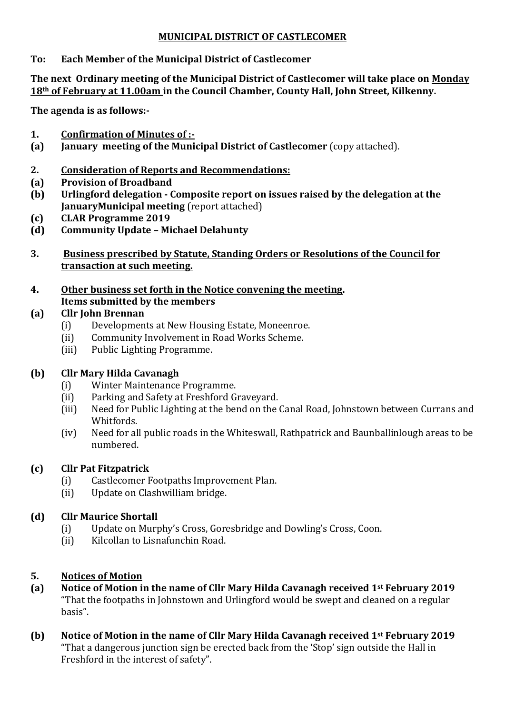#### **MUNICIPAL DISTRICT OF CASTLECOMER**

#### **To: Each Member of the Municipal District of Castlecomer**

#### **The next Ordinary meeting of the Municipal District of Castlecomer will take place on Monday 18th of February at 11.00am in the Council Chamber, County Hall, John Street, Kilkenny.**

**The agenda is as follows:-**

- **1. Confirmation of Minutes of :-**
- **(a) January meeting of the Municipal District of Castlecomer** (copy attached).
- **2. Consideration of Reports and Recommendations:**
- **(a) Provision of Broadband**
- **(b) Urlingford delegation - Composite report on issues raised by the delegation at the JanuaryMunicipal meeting** (report attached)
- **(c) CLAR Programme 2019**
- **(d) Community Update – Michael Delahunty**
- **3. Business prescribed by Statute, Standing Orders or Resolutions of the Council for transaction at such meeting.**
- **4. Other business set forth in the Notice convening the meeting. Items submitted by the members**

#### **(a) Cllr John Brennan**

- (i) Developments at New Housing Estate, Moneenroe.
- (ii) Community Involvement in Road Works Scheme.
- (iii) Public Lighting Programme.

## **(b) Cllr Mary Hilda Cavanagh**

- (i) Winter Maintenance Programme.
- (ii) Parking and Safety at Freshford Graveyard.
- (iii) Need for Public Lighting at the bend on the Canal Road, Johnstown between Currans and Whitfords.
- (iv) Need for all public roads in the Whiteswall, Rathpatrick and Baunballinlough areas to be numbered.

## **(c) Cllr Pat Fitzpatrick**

- (i) Castlecomer Footpaths Improvement Plan.
- (ii) Update on Clashwilliam bridge.

## **(d) Cllr Maurice Shortall**

- (i) Update on Murphy's Cross, Goresbridge and Dowling's Cross, Coon.
- (ii) Kilcollan to Lisnafunchin Road.

## **5. Notices of Motion**

- **(a) Notice of Motion in the name of Cllr Mary Hilda Cavanagh received 1st February 2019** "That the footpaths in Johnstown and Urlingford would be swept and cleaned on a regular basis".
- **(b) Notice of Motion in the name of Cllr Mary Hilda Cavanagh received 1st February 2019** "That a dangerous junction sign be erected back from the 'Stop' sign outside the Hall in Freshford in the interest of safety".